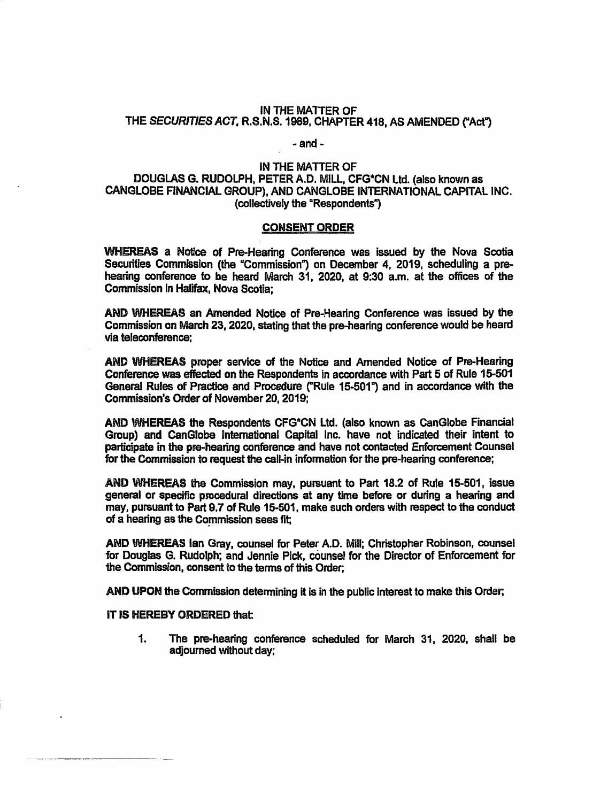### IN THE MATTER OF THE SECURITIES ACT, R.S.N.S. 1989, CHAPTER 418, AS AMENDED ("Act")

#### $-$  and  $-$

### IN THE MATTER OF DOUGLAS G. RUDOLPH, PETER A.D. MILL, CFG\*CN Ltd. (also known as CANGLOBE FINANCIAL GROUP), AND CANGLOBE INTERNATIONAL CAPITAL INC. (collectively the "Respondents")

#### **CONSENT ORDER**

WHEREAS a Notice of Pre-Hearing Conference was issued by the Nova Scotia Securities Commission (the "Commission") on December 4, 2019, scheduling a prehearing conference to be heard March 31, 2020, at 9:30 a.m. at the offices of the Commission in Halifax. Nova Scotia:

AND WHEREAS an Amended Notice of Pre-Hearing Conference was issued by the Commission on March 23, 2020, stating that the pre-hearing conference would be heard via teleconference:

AND WHEREAS proper service of the Notice and Amended Notice of Pre-Hearing Conference was effected on the Respondents in accordance with Part 5 of Rule 15-501 General Rules of Practice and Procedure ("Rule 15-501") and in accordance with the Commission's Order of November 20, 2019:

AND WHEREAS the Respondents CFG\*CN Ltd. (also known as CanGlobe Financial Group) and CanGlobe International Capital Inc. have not indicated their intent to participate in the pre-hearing conference and have not contacted Enforcement Counsel for the Commission to request the call-in information for the pre-hearing conference;

AND WHEREAS the Commission may, pursuant to Part 18.2 of Rule 15-501, issue general or specific procedural directions at any time before or during a hearing and may, pursuant to Part 9.7 of Rule 15-501, make such orders with respect to the conduct of a hearing as the Commission sees fit;

AND WHEREAS Ian Gray, counsel for Peter A.D. Mill; Christopher Robinson, counsel for Douglas G. Rudolph; and Jennie Pick, counsel for the Director of Enforcement for the Commission, consent to the terms of this Order:

AND UPON the Commission determining it is in the public interest to make this Order;

### IT IS HEREBY ORDERED that:

 $\mathbf{1}$ . The pre-hearing conference scheduled for March 31, 2020, shall be adjourned without day;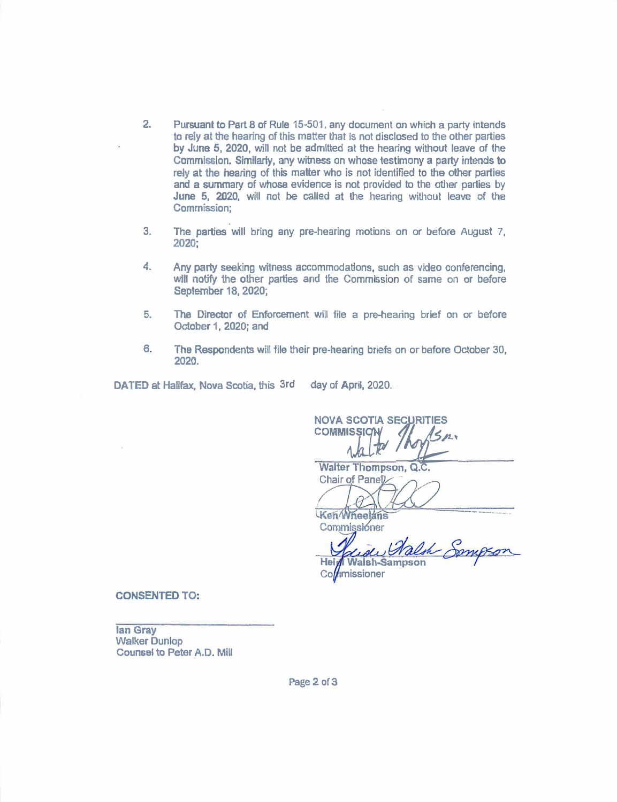- **2. Pursuant to Part 8 of Rule 15-501, any document on which a party intends ta rely at the hearing of this matter that is not disclosed to the other parties** by June 5, 2020, will not be admitted at the hearing without leave of the Commission. Similarly, any witness on whose testimony a party intends to **rely at the hearing of this matter who is not identified to the other parties and a summary of whose evidence is not provided to** the **other parties by** June **5, 2020, will not be called at the hearing without leave of the Commission;**
- **3. The parties will bring any pre-hearing motions on or before August 7, 2020;**
- **4. Any party seeking witness accommodations, such as video conferencing, will notify the other parties and the Commission of same on or before** September 18, 2020;
- **5. The Director of Enforcement will file a pre-hearing brief on or before October1,2020;and**
- **8. The Respondents** will **file their pre-hearing briefs on or before October 30, 2020.**

**DATED at Halifax, Nova Scotia, this 3rdday of April, 2020.** 

**NOVA SCOTIA SECURITIES NOVA SCOTIA SECURITIES**<br>COMMISSION

**Walter Thompson, Q. Chair of Pane<sup>1</sup>** 

Ken Wheelans Commissioner

Walsh **Heidi Walsh-Sampson** 

Collimissioner

**CONSENTED TO:** 

**Ian Gray Walker Dunlop Counsel to Peter A.O. MiU** 

**Page2 of3**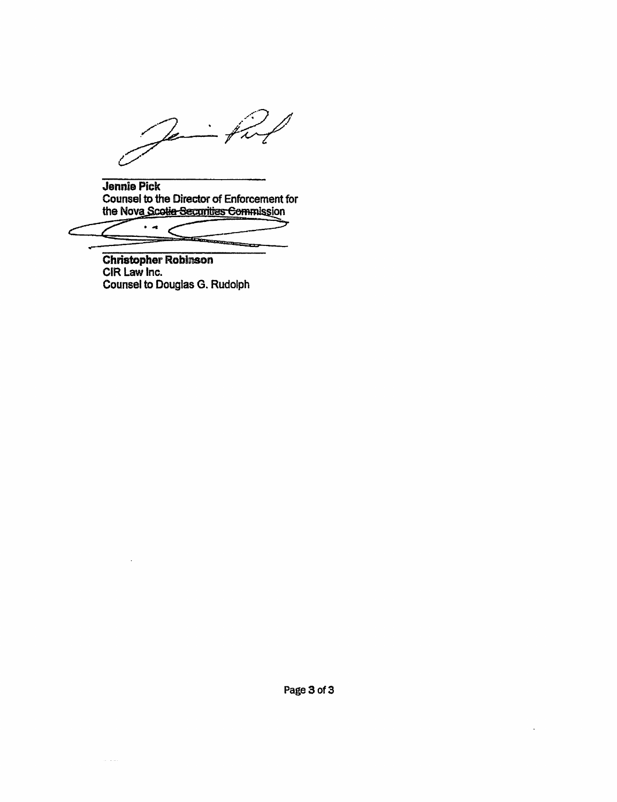Je

Jennie Pick Counsel to the Director of Enforcement for<br>the Nova Scotia Securities Commission

 $\ddot{\phantom{1}}$ 

Christopher Robinson<br>CIR Law Inc.<br>Counsel to Douglas G. Rudolph

. . . .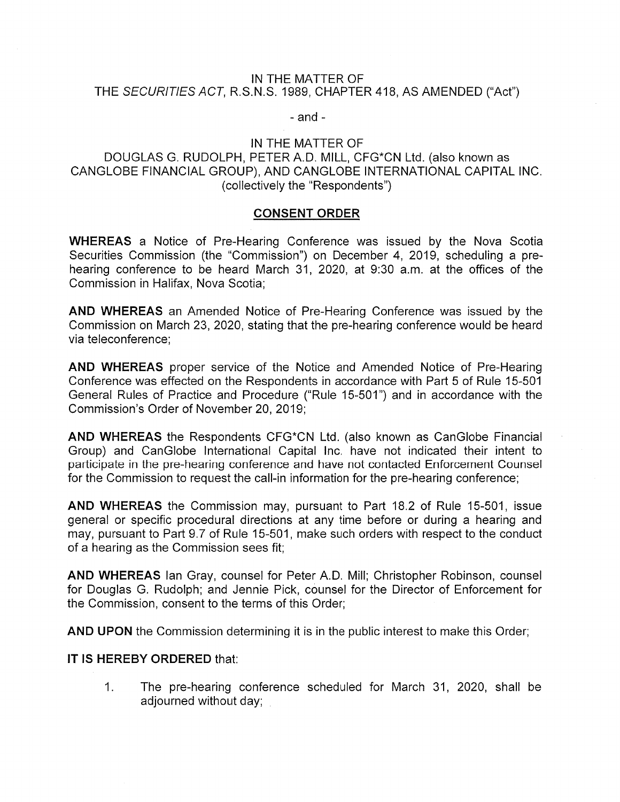## IN THE MATTER OF THE SECURITIES ACT, R.S.N.S. 1989, CHAPTER 418, AS AMENDED ("Act")

## $-$  and  $-$

## IN THE MATTER OF

# DOUGLAS G. RUDOLPH, PETER A.D. MILL, CFG\*CN Ltd. (also known as CANGLOBE FINANCIAL GROUP), AND CANGLOBE INTERNATIONAL CAPITAL INC. (collectively the "Respondents")

## **CONSENT ORDER**

**WHEREAS** a Notice of Pre-Hearing Conference was issued by the Nova Scotia Securities Commission (the "Commission") on December 4, 2019, scheduling a prehearing conference to be heard March 31, 2020, at 9:30 a.m. at the offices of the Commission in Halifax, Nova Scotia:

**AND WHEREAS** an Amended Notice of Pre-Hearing Conference was issued by the Commission on March 23, 2020, stating that the pre-hearing conference would be heard via teleconference:

AND WHEREAS proper service of the Notice and Amended Notice of Pre-Hearing Conference was effected on the Respondents in accordance with Part 5 of Rule 15-501 General Rules of Practice and Procedure ("Rule 15-501") and in accordance with the Commission's Order of November 20, 2019;

AND WHEREAS the Respondents CFG\*CN Ltd. (also known as CanGlobe Financial Group) and CanGlobe International Capital Inc. have not indicated their intent to participate in the pre-hearing conference and have not contacted Enforcement Counsel for the Commission to request the call-in information for the pre-hearing conference;

**AND WHEREAS** the Commission may, pursuant to Part 18.2 of Rule 15-501, issue general or specific procedural directions at any time before or during a hearing and may, pursuant to Part 9.7 of Rule 15-501, make such orders with respect to the conduct of a hearing as the Commission sees fit:

AND WHEREAS Ian Gray, counsel for Peter A.D. Mill; Christopher Robinson, counsel for Douglas G. Rudolph; and Jennie Pick, counsel for the Director of Enforcement for the Commission, consent to the terms of this Order:

AND UPON the Commission determining it is in the public interest to make this Order;

## IT IS HEREBY ORDERED that:

 $1<sub>1</sub>$ The pre-hearing conference scheduled for March 31, 2020, shall be adjourned without day;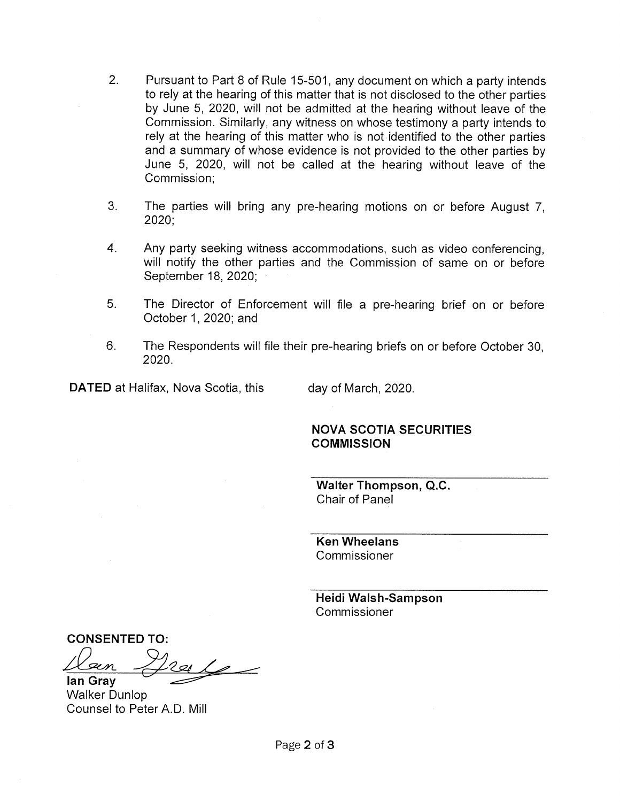- $2.$ Pursuant to Part 8 of Rule 15-501, any document on which a party intends to rely at the hearing of this matter that is not disclosed to the other parties by June 5, 2020, will not be admitted at the hearing without leave of the Commission. Similarly, any witness on whose testimony a party intends to rely at the hearing of this matter who is not identified to the other parties and a summary of whose evidence is not provided to the other parties by June 5, 2020, will not be called at the hearing without leave of the Commission:
- $3<sub>1</sub>$ The parties will bring any pre-hearing motions on or before August 7.  $2020;$
- 4. Any party seeking witness accommodations, such as video conferencing. will notify the other parties and the Commission of same on or before September 18, 2020;
- 5. The Director of Enforcement will file a pre-hearing brief on or before October 1, 2020; and
- 6. The Respondents will file their pre-hearing briefs on or before October 30. 2020.

**DATED** at Halifax, Nova Scotia, this

day of March, 2020.

# **NOVA SCOTIA SECURITIES COMMISSION**

**Walter Thompson, Q.C.** Chair of Panel

**Ken Wheelans** Commissioner

Heidi Walsh-Sampson Commissioner

**CONSENTED TO:**  $\overline{\mathscr{L}}$ lan Grav

**Walker Dunlop** Counsel to Peter A.D. Mill